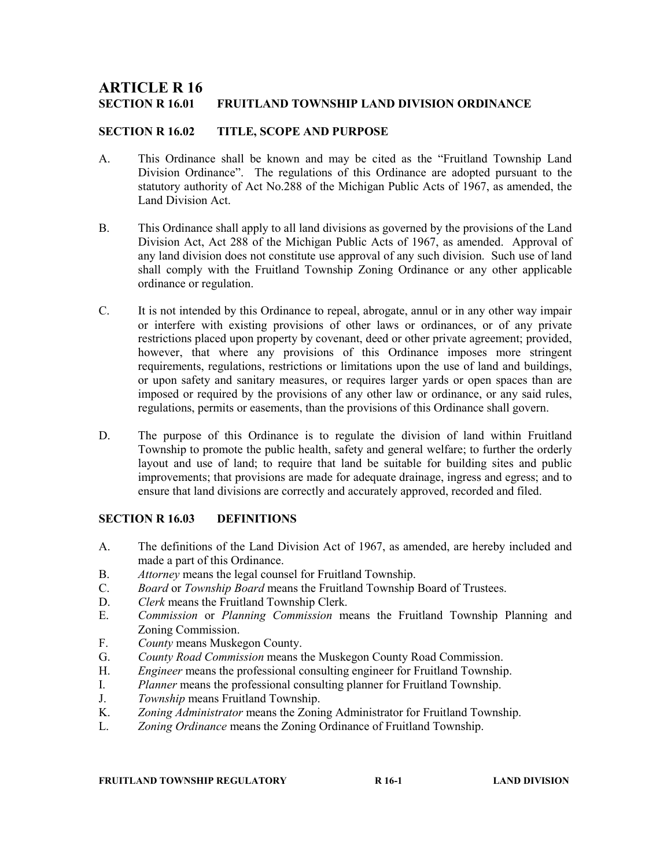# **ARTICLE R 16<br>section r 16.01** FRUITLAND TOWNSHIP LAND DIVISION ORDINANCE

## SECTION R 16.02 TITLE, SCOPE AND PURPOSE

- A. This Ordinance shall be known and may be cited as the "Fruitland Township Land Division Ordinance". The regulations of this Ordinance are adopted pursuant to the statutory authority of Act No.288 of the Michigan Public Acts of 1967, as amended, the Land Division Act.
- B. This Ordinance shall apply to all land divisions as governed by the provisions of the Land Division Act, Act 288 of the Michigan Public Acts of 1967, as amended. Approval of any land division does not constitute use approval of any such division. Such use of land shall comply with the Fruitland Township Zoning Ordinance or any other applicable ordinance or regulation.
- C. It is not intended by this Ordinance to repeal, abrogate, annul or in any other way impair or interfere with existing provisions of other laws or ordinances, or of any private restrictions placed upon property by covenant, deed or other private agreement; provided, however, that where any provisions of this Ordinance imposes more stringent requirements, regulations, restrictions or limitations upon the use of land and buildings, or upon safety and sanitary measures, or requires larger yards or open spaces than are imposed or required by the provisions of any other law or ordinance, or any said rules, regulations, permits or easements, than the provisions of this Ordinance shall govern.
- D. The purpose of this Ordinance is to regulate the division of land within Fruitland Township to promote the public health, safety and general welfare; to further the orderly layout and use of land; to require that land be suitable for building sites and public improvements; that provisions are made for adequate drainage, ingress and egress; and to ensure that land divisions are correctly and accurately approved, recorded and filed.

#### SECTION R 16.03 DEFINITIONS

- A. The definitions of the Land Division Act of 1967, as amended, are hereby included and made a part of this Ordinance.
- B. Attorney means the legal counsel for Fruitland Township.
- C. Board or Township Board means the Fruitland Township Board of Trustees.
- D. Clerk means the Fruitland Township Clerk.
- E. Commission or Planning Commission means the Fruitland Township Planning and Zoning Commission.
- F. County means Muskegon County.
- G. County Road Commission means the Muskegon County Road Commission.
- H. Engineer means the professional consulting engineer for Fruitland Township.
- I. Planner means the professional consulting planner for Fruitland Township.
- J. Township means Fruitland Township.
- K. Zoning Administrator means the Zoning Administrator for Fruitland Township.
- L. *Zoning Ordinance* means the Zoning Ordinance of Fruitland Township.

#### FRUITLAND TOWNSHIP REGULATORY **R** 16-1 **R** 16-1 LAND DIVISION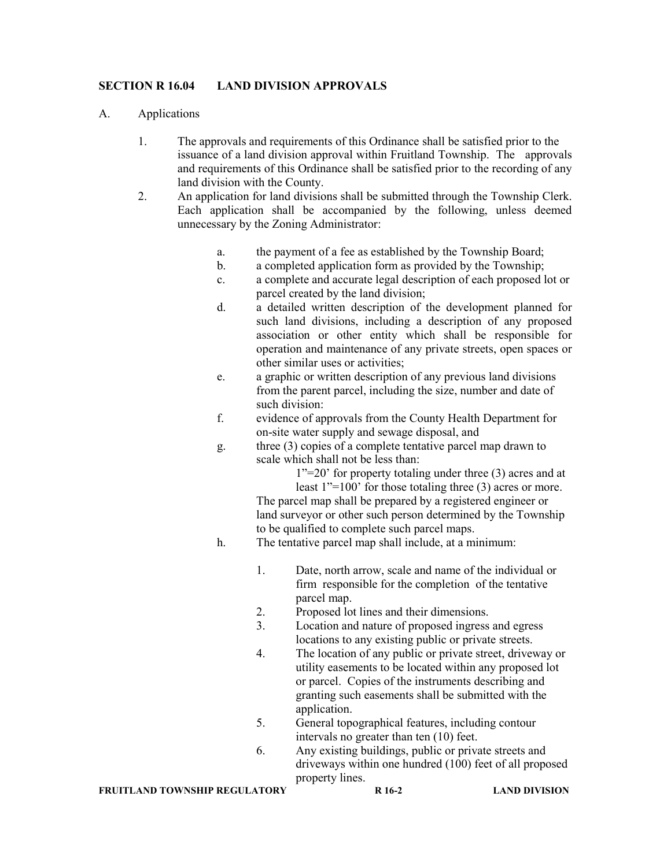## SECTION R 16.04 LAND DIVISION APPROVALS

#### A. Applications

- 1. The approvals and requirements of this Ordinance shall be satisfied prior to the issuance of a land division approval within Fruitland Township. The approvals and requirements of this Ordinance shall be satisfied prior to the recording of any land division with the County.
- 2. An application for land divisions shall be submitted through the Township Clerk. Each application shall be accompanied by the following, unless deemed unnecessary by the Zoning Administrator:
	- a. the payment of a fee as established by the Township Board;
	- b. a completed application form as provided by the Township;
	- c. a complete and accurate legal description of each proposed lot or parcel created by the land division;
	- d. a detailed written description of the development planned for such land divisions, including a description of any proposed association or other entity which shall be responsible for operation and maintenance of any private streets, open spaces or other similar uses or activities;
	- e. a graphic or written description of any previous land divisions from the parent parcel, including the size, number and date of such division:
	- f. evidence of approvals from the County Health Department for on-site water supply and sewage disposal, and
	- g. three (3) copies of a complete tentative parcel map drawn to scale which shall not be less than:
		- 1"=20' for property totaling under three (3) acres and at

least 1"=100' for those totaling three (3) acres or more. The parcel map shall be prepared by a registered engineer or land surveyor or other such person determined by the Township to be qualified to complete such parcel maps.

- h. The tentative parcel map shall include, at a minimum:
	- 1. Date, north arrow, scale and name of the individual or firm responsible for the completion of the tentative parcel map.
	- 2. Proposed lot lines and their dimensions.
	- 3. Location and nature of proposed ingress and egress locations to any existing public or private streets.
	- 4. The location of any public or private street, driveway or utility easements to be located within any proposed lot or parcel. Copies of the instruments describing and granting such easements shall be submitted with the application.
	- 5. General topographical features, including contour intervals no greater than ten (10) feet.
	- 6. Any existing buildings, public or private streets and driveways within one hundred (100) feet of all proposed property lines.

FRUITLAND TOWNSHIP REGULATORY R 16-2 LAND DIVISION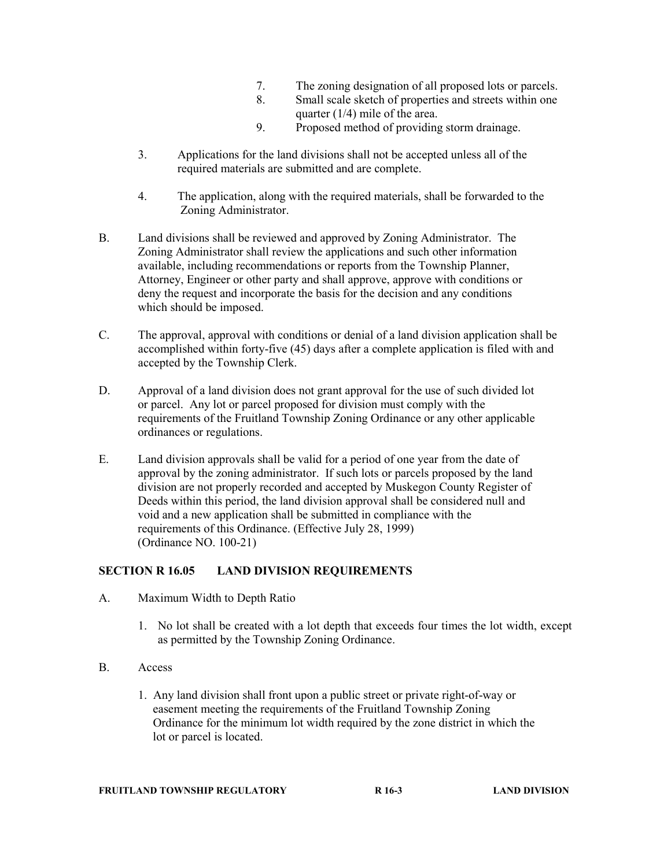- 7. The zoning designation of all proposed lots or parcels.
- 8. Small scale sketch of properties and streets within one quarter (1/4) mile of the area.
- 9. Proposed method of providing storm drainage.
- 3. Applications for the land divisions shall not be accepted unless all of the required materials are submitted and are complete.
- 4. The application, along with the required materials, shall be forwarded to the Zoning Administrator.
- B. Land divisions shall be reviewed and approved by Zoning Administrator. The Zoning Administrator shall review the applications and such other information available, including recommendations or reports from the Township Planner, Attorney, Engineer or other party and shall approve, approve with conditions or deny the request and incorporate the basis for the decision and any conditions which should be imposed.
- C. The approval, approval with conditions or denial of a land division application shall be accomplished within forty-five (45) days after a complete application is filed with and accepted by the Township Clerk.
- D. Approval of a land division does not grant approval for the use of such divided lot or parcel. Any lot or parcel proposed for division must comply with the requirements of the Fruitland Township Zoning Ordinance or any other applicable ordinances or regulations.
- E. Land division approvals shall be valid for a period of one year from the date of approval by the zoning administrator. If such lots or parcels proposed by the land division are not properly recorded and accepted by Muskegon County Register of Deeds within this period, the land division approval shall be considered null and void and a new application shall be submitted in compliance with the requirements of this Ordinance. (Effective July 28, 1999) (Ordinance NO. 100-21)

# SECTION R 16.05 LAND DIVISION REQUIREMENTS

- A. Maximum Width to Depth Ratio
	- 1. No lot shall be created with a lot depth that exceeds four times the lot width, except as permitted by the Township Zoning Ordinance.
- B. Access
	- 1. Any land division shall front upon a public street or private right-of-way or easement meeting the requirements of the Fruitland Township Zoning Ordinance for the minimum lot width required by the zone district in which the lot or parcel is located.